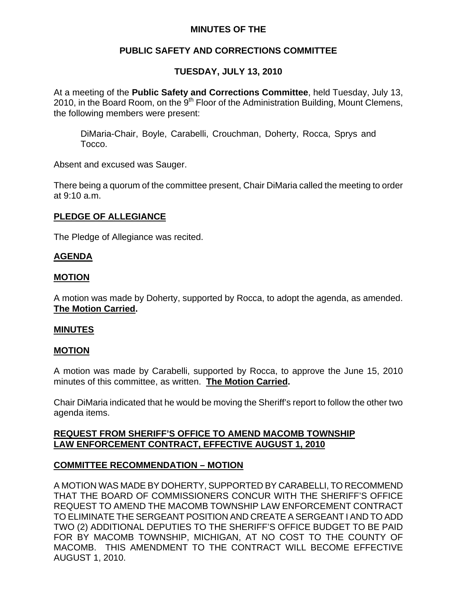## **MINUTES OF THE**

## **PUBLIC SAFETY AND CORRECTIONS COMMITTEE**

# **TUESDAY, JULY 13, 2010**

At a meeting of the **Public Safety and Corrections Committee**, held Tuesday, July 13, 2010, in the Board Room, on the  $9<sup>th</sup>$  Floor of the Administration Building, Mount Clemens, the following members were present:

DiMaria-Chair, Boyle, Carabelli, Crouchman, Doherty, Rocca, Sprys and Tocco.

Absent and excused was Sauger.

There being a quorum of the committee present, Chair DiMaria called the meeting to order at 9:10 a.m.

### **PLEDGE OF ALLEGIANCE**

The Pledge of Allegiance was recited.

### **AGENDA**

#### **MOTION**

A motion was made by Doherty, supported by Rocca, to adopt the agenda, as amended. **The Motion Carried.** 

#### **MINUTES**

#### **MOTION**

A motion was made by Carabelli, supported by Rocca, to approve the June 15, 2010 minutes of this committee, as written. **The Motion Carried.** 

Chair DiMaria indicated that he would be moving the Sheriff's report to follow the other two agenda items.

### **REQUEST FROM SHERIFF'S OFFICE TO AMEND MACOMB TOWNSHIP LAW ENFORCEMENT CONTRACT, EFFECTIVE AUGUST 1, 2010**

## **COMMITTEE RECOMMENDATION – MOTION**

A MOTION WAS MADE BY DOHERTY, SUPPORTED BY CARABELLI, TO RECOMMEND THAT THE BOARD OF COMMISSIONERS CONCUR WITH THE SHERIFF'S OFFICE REQUEST TO AMEND THE MACOMB TOWNSHIP LAW ENFORCEMENT CONTRACT TO ELIMINATE THE SERGEANT POSITION AND CREATE A SERGEANT I AND TO ADD TWO (2) ADDITIONAL DEPUTIES TO THE SHERIFF'S OFFICE BUDGET TO BE PAID FOR BY MACOMB TOWNSHIP, MICHIGAN, AT NO COST TO THE COUNTY OF MACOMB. THIS AMENDMENT TO THE CONTRACT WILL BECOME EFFECTIVE AUGUST 1, 2010.